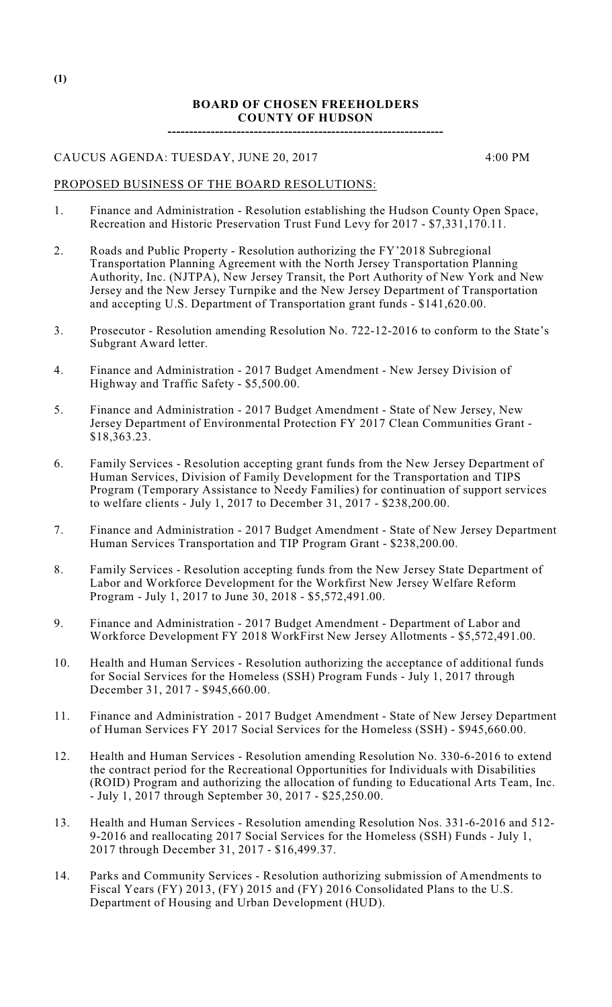### **BOARD OF CHOSEN FREEHOLDERS COUNTY OF HUDSON ----------------------------------------------------------------**

CAUCUS AGENDA: TUESDAY, JUNE 20, 2017 4:00 PM

#### PROPOSED BUSINESS OF THE BOARD RESOLUTIONS:

- 1. Finance and Administration Resolution establishing the Hudson County Open Space, Recreation and Historic Preservation Trust Fund Levy for 2017 - \$7,331,170.11.
- 2. Roads and Public Property Resolution authorizing the FY'2018 Subregional Transportation Planning Agreement with the North Jersey Transportation Planning Authority, Inc. (NJTPA), New Jersey Transit, the Port Authority of New York and New Jersey and the New Jersey Turnpike and the New Jersey Department of Transportation and accepting U.S. Department of Transportation grant funds - \$141,620.00.
- 3. Prosecutor Resolution amending Resolution No. 722-12-2016 to conform to the State's Subgrant Award letter.
- 4. Finance and Administration 2017 Budget Amendment New Jersey Division of Highway and Traffic Safety - \$5,500.00.
- 5. Finance and Administration 2017 Budget Amendment State of New Jersey, New Jersey Department of Environmental Protection FY 2017 Clean Communities Grant - \$18,363.23.
- 6. Family Services Resolution accepting grant funds from the New Jersey Department of Human Services, Division of Family Development for the Transportation and TIPS Program (Temporary Assistance to Needy Families) for continuation of support services to welfare clients - July 1, 2017 to December 31, 2017 - \$238,200.00.
- 7. Finance and Administration 2017 Budget Amendment State of New Jersey Department Human Services Transportation and TIP Program Grant - \$238,200.00.
- 8. Family Services Resolution accepting funds from the New Jersey State Department of Labor and Workforce Development for the Workfirst New Jersey Welfare Reform Program - July 1, 2017 to June 30, 2018 - \$5,572,491.00.
- 9. Finance and Administration 2017 Budget Amendment Department of Labor and Workforce Development FY 2018 WorkFirst New Jersey Allotments - \$5,572,491.00.
- 10. Health and Human Services Resolution authorizing the acceptance of additional funds for Social Services for the Homeless (SSH) Program Funds - July 1, 2017 through December 31, 2017 - \$945,660.00.
- 11. Finance and Administration 2017 Budget Amendment State of New Jersey Department of Human Services FY 2017 Social Services for the Homeless (SSH) - \$945,660.00.
- 12. Health and Human Services Resolution amending Resolution No. 330-6-2016 to extend the contract period for the Recreational Opportunities for Individuals with Disabilities (ROID) Program and authorizing the allocation of funding to Educational Arts Team, Inc. - July 1, 2017 through September 30, 2017 - \$25,250.00.
- 13. Health and Human Services Resolution amending Resolution Nos. 331-6-2016 and 512- 9-2016 and reallocating 2017 Social Services for the Homeless (SSH) Funds - July 1, 2017 through December 31, 2017 - \$16,499.37.
- 14. Parks and Community Services Resolution authorizing submission of Amendments to Fiscal Years (FY) 2013, (FY) 2015 and (FY) 2016 Consolidated Plans to the U.S. Department of Housing and Urban Development (HUD).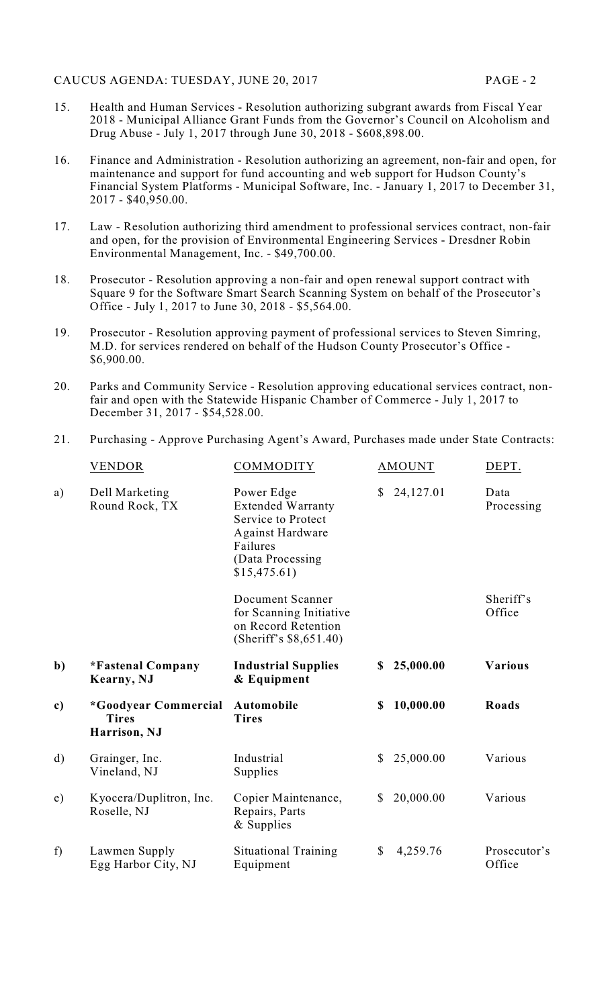- 15. Health and Human Services Resolution authorizing subgrant awards from Fiscal Year 2018 - Municipal Alliance Grant Funds from the Governor's Council on Alcoholism and Drug Abuse - July 1, 2017 through June 30, 2018 - \$608,898.00.
- 16. Finance and Administration Resolution authorizing an agreement, non-fair and open, for maintenance and support for fund accounting and web support for Hudson County's Financial System Platforms - Municipal Software, Inc. - January 1, 2017 to December 31, 2017 - \$40,950.00.
- 17. Law Resolution authorizing third amendment to professional services contract, non-fair and open, for the provision of Environmental Engineering Services - Dresdner Robin Environmental Management, Inc. - \$49,700.00.
- 18. Prosecutor Resolution approving a non-fair and open renewal support contract with Square 9 for the Software Smart Search Scanning System on behalf of the Prosecutor's Office - July 1, 2017 to June 30, 2018 - \$5,564.00.
- 19. Prosecutor Resolution approving payment of professional services to Steven Simring, M.D. for services rendered on behalf of the Hudson County Prosecutor's Office - \$6,900.00.
- 20. Parks and Community Service Resolution approving educational services contract, nonfair and open with the Statewide Hispanic Chamber of Commerce - July 1, 2017 to December 31, 2017 - \$54,528.00.

### 21. Purchasing - Approve Purchasing Agent's Award, Purchases made under State Contracts:

|              | VENDOR                                                      | <b>COMMODITY</b>                                                                                                                         |              | <b>AMOUNT</b> | DEPT.                  |
|--------------|-------------------------------------------------------------|------------------------------------------------------------------------------------------------------------------------------------------|--------------|---------------|------------------------|
| a)           | Dell Marketing<br>Round Rock, TX                            | Power Edge<br><b>Extended Warranty</b><br>Service to Protect<br><b>Against Hardware</b><br>Failures<br>(Data Processing)<br>\$15,475.61) | <sup>S</sup> | 24,127.01     | Data<br>Processing     |
|              |                                                             | <b>Document Scanner</b><br>for Scanning Initiative<br>on Record Retention<br>(Sheriff's \$8,651.40)                                      |              |               | Sheriff's<br>Office    |
| $\mathbf{b}$ | *Fastenal Company<br>Kearny, NJ                             | <b>Industrial Supplies</b><br>& Equipment                                                                                                | \$           | 25,000.00     | <b>Various</b>         |
| c)           | <i>*Goodyear Commercial</i><br><b>Tires</b><br>Harrison, NJ | Automobile<br><b>Tires</b>                                                                                                               | \$           | 10,000.00     | Roads                  |
| $\mathbf{d}$ | Grainger, Inc.<br>Vineland, NJ                              | Industrial<br>Supplies                                                                                                                   | \$           | 25,000.00     | Various                |
| e)           | Kyocera/Duplitron, Inc.<br>Roselle, NJ                      | Copier Maintenance,<br>Repairs, Parts<br>& Supplies                                                                                      | \$           | 20,000.00     | Various                |
| f)           | Lawmen Supply<br>Egg Harbor City, NJ                        | <b>Situational Training</b><br>Equipment                                                                                                 | \$           | 4,259.76      | Prosecutor's<br>Office |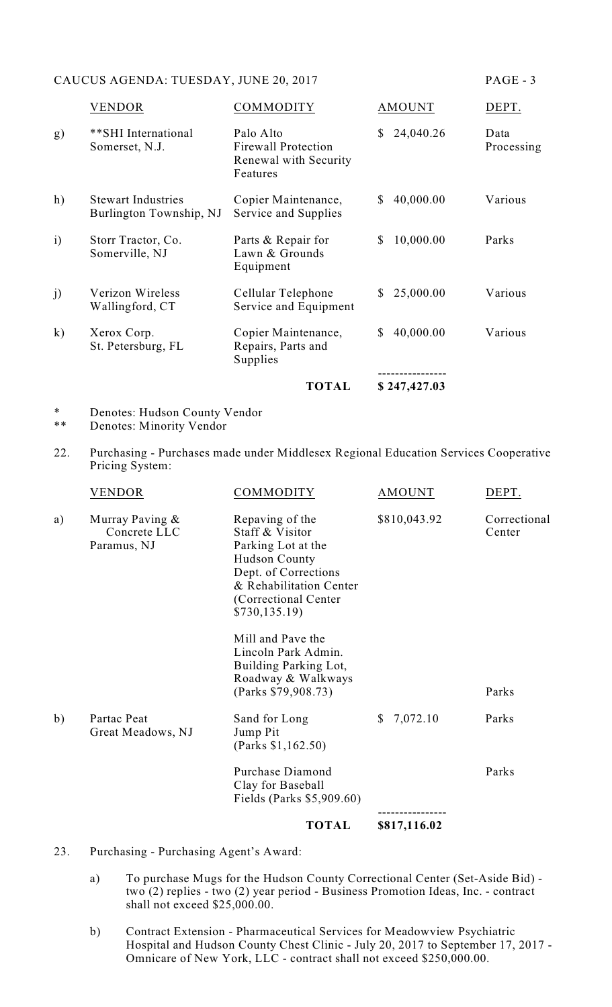## CAUCUS AGENDA: TUESDAY, JUNE 20, 2017 PAGE - 3

|                |                                                      | <b>TOTAL</b>                                                                 | \$247,427.03              |                    |
|----------------|------------------------------------------------------|------------------------------------------------------------------------------|---------------------------|--------------------|
| $\mathbf{k}$   | Xerox Corp.<br>St. Petersburg, FL                    | Copier Maintenance,<br>Repairs, Parts and<br>Supplies                        | 40,000.00<br>$\mathbb{S}$ | Various            |
| j)             | Verizon Wireless<br>Wallingford, CT                  | Cellular Telephone<br>Service and Equipment                                  | 25,000.00<br>S.           | Various            |
| $\overline{1}$ | Storr Tractor, Co.<br>Somerville, NJ                 | Parts & Repair for<br>Lawn & Grounds<br>Equipment                            | 10,000.00<br>\$           | Parks              |
| h)             | <b>Stewart Industries</b><br>Burlington Township, NJ | Copier Maintenance,<br>Service and Supplies                                  | 40,000.00<br>\$           | Various            |
| g)             | **SHI International<br>Somerset, N.J.                | Palo Alto<br><b>Firewall Protection</b><br>Renewal with Security<br>Features | 24,040.26<br>\$           | Data<br>Processing |
|                | VENDOR                                               | COMMODITY                                                                    | <b>AMOUNT</b>             | DEPT.              |

<sup>\*</sup> Denotes: Hudson County Vendor<br>\*\* Denotes: Minority Vendor

- Denotes: Minority Vendor
- 22. Purchasing Purchases made under Middlesex Regional Education Services Cooperative Pricing System:

|    |                                                | <b>TOTAL</b>                                                                                                                                                                  | \$817,116.02             |                        |
|----|------------------------------------------------|-------------------------------------------------------------------------------------------------------------------------------------------------------------------------------|--------------------------|------------------------|
|    |                                                | Purchase Diamond<br>Clay for Baseball<br>Fields (Parks \$5,909.60)                                                                                                            |                          | Parks                  |
| b) | Partac Peat<br>Great Meadows, NJ               | Sand for Long<br>Jump Pit<br>(Parks \$1,162.50)                                                                                                                               | 7,072.10<br>$\mathbb{S}$ | Parks                  |
|    |                                                | Mill and Paye the<br>Lincoln Park Admin.<br>Building Parking Lot,<br>Roadway & Walkways<br>(Parks \$79,908.73)                                                                |                          | Parks                  |
| a) | Murray Paving &<br>Concrete LLC<br>Paramus, NJ | Repaving of the<br>Staff & Visitor<br>Parking Lot at the<br><b>Hudson County</b><br>Dept. of Corrections<br>& Rehabilitation Center<br>(Correctional Center)<br>\$730,135.19) | \$810,043.92             | Correctional<br>Center |
|    | VENDOR                                         | COMMODITY                                                                                                                                                                     | <b>AMOUNT</b>            | DEPT.                  |

- 23. Purchasing Purchasing Agent's Award:
	- a) To purchase Mugs for the Hudson County Correctional Center (Set-Aside Bid) two (2) replies - two (2) year period - Business Promotion Ideas, Inc. - contract shall not exceed \$25,000.00.
	- b) Contract Extension Pharmaceutical Services for Meadowview Psychiatric Hospital and Hudson County Chest Clinic - July 20, 2017 to September 17, 2017 - Omnicare of New York, LLC - contract shall not exceed \$250,000.00.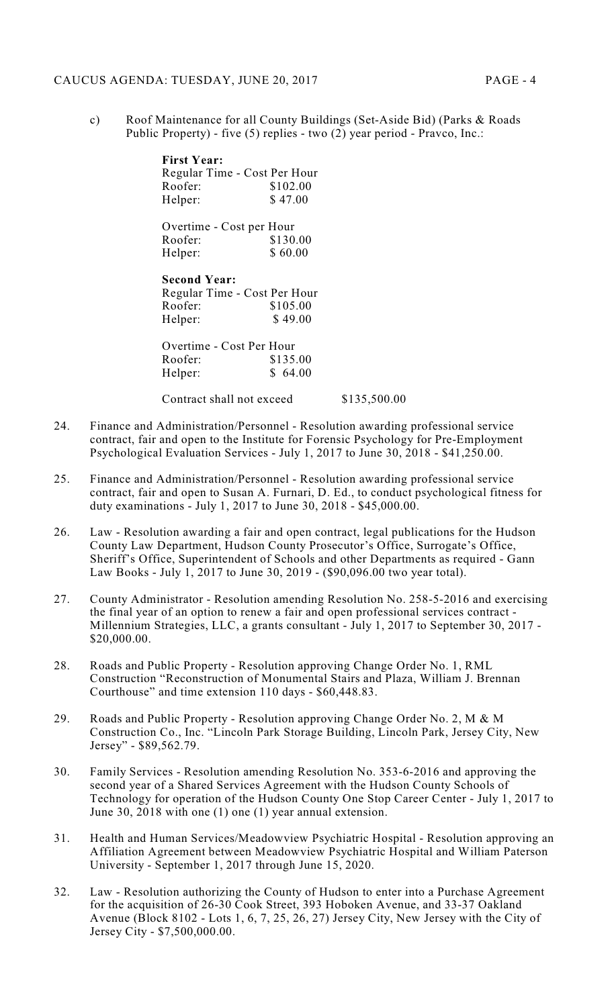c) Roof Maintenance for all County Buildings (Set-Aside Bid) (Parks & Roads Public Property) - five (5) replies - two (2) year period - Pravco, Inc.:

| <b>First Year:</b>           |          |
|------------------------------|----------|
| Regular Time - Cost Per Hour |          |
| Roofer:                      | \$102.00 |
| Helper:                      | \$47.00  |

| Overtime - Cost per Hour |          |
|--------------------------|----------|
| Roofer:                  | \$130.00 |
| Helper:                  | \$60.00  |

| Regular Time - Cost Per Hour |
|------------------------------|
| \$105.00                     |
| \$49.00                      |
|                              |

| Overtime - Cost Per Hour |          |
|--------------------------|----------|
| Roofer:                  | \$135.00 |
| Helper:                  | \$64.00  |

Contract shall not exceed \$135,500.00

- 24. Finance and Administration/Personnel Resolution awarding professional service contract, fair and open to the Institute for Forensic Psychology for Pre-Employment Psychological Evaluation Services - July 1, 2017 to June 30, 2018 - \$41,250.00.
- 25. Finance and Administration/Personnel Resolution awarding professional service contract, fair and open to Susan A. Furnari, D. Ed., to conduct psychological fitness for duty examinations - July 1, 2017 to June 30, 2018 - \$45,000.00.
- 26. Law Resolution awarding a fair and open contract, legal publications for the Hudson County Law Department, Hudson County Prosecutor's Office, Surrogate's Office, Sheriff's Office, Superintendent of Schools and other Departments as required - Gann Law Books - July 1, 2017 to June 30, 2019 - (\$90,096.00 two year total).
- 27. County Administrator Resolution amending Resolution No. 258-5-2016 and exercising the final year of an option to renew a fair and open professional services contract - Millennium Strategies, LLC, a grants consultant - July 1, 2017 to September 30, 2017 - \$20,000.00.
- 28. Roads and Public Property Resolution approving Change Order No. 1, RML Construction "Reconstruction of Monumental Stairs and Plaza, William J. Brennan Courthouse" and time extension 110 days - \$60,448.83.
- 29. Roads and Public Property Resolution approving Change Order No. 2, M & M Construction Co., Inc. "Lincoln Park Storage Building, Lincoln Park, Jersey City, New Jersey" - \$89,562.79.
- 30. Family Services Resolution amending Resolution No. 353-6-2016 and approving the second year of a Shared Services Agreement with the Hudson County Schools of Technology for operation of the Hudson County One Stop Career Center - July 1, 2017 to June 30, 2018 with one (1) one (1) year annual extension.
- 31. Health and Human Services/Meadowview Psychiatric Hospital Resolution approving an Affiliation Agreement between Meadowview Psychiatric Hospital and William Paterson University - September 1, 2017 through June 15, 2020.
- 32. Law Resolution authorizing the County of Hudson to enter into a Purchase Agreement for the acquisition of 26-30 Cook Street, 393 Hoboken Avenue, and 33-37 Oakland Avenue (Block 8102 - Lots 1, 6, 7, 25, 26, 27) Jersey City, New Jersey with the City of Jersey City - \$7,500,000.00.